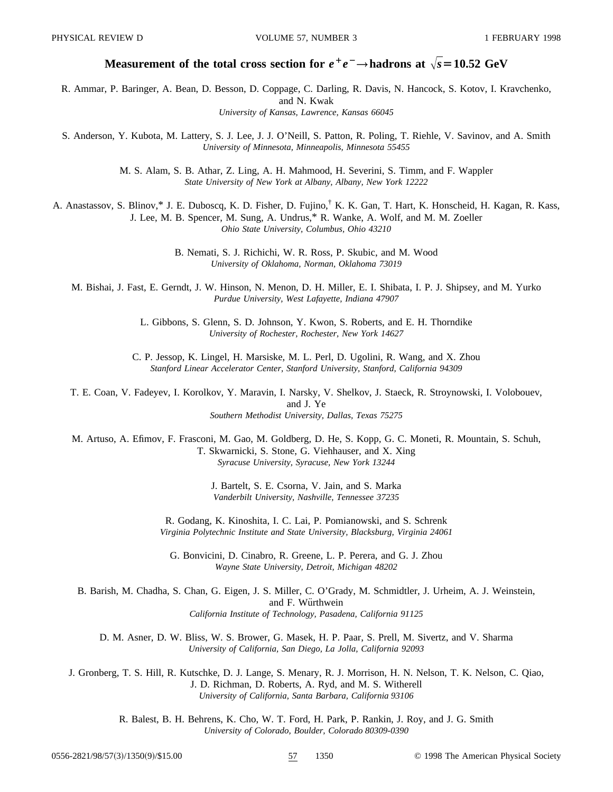# **Measurement of the total cross section for**  $e^+e^- \rightarrow$  **hadrons at**  $\sqrt{s} = 10.52$  **GeV**

R. Ammar, P. Baringer, A. Bean, D. Besson, D. Coppage, C. Darling, R. Davis, N. Hancock, S. Kotov, I. Kravchenko, and N. Kwak *University of Kansas, Lawrence, Kansas 66045*

S. Anderson, Y. Kubota, M. Lattery, S. J. Lee, J. J. O'Neill, S. Patton, R. Poling, T. Riehle, V. Savinov, and A. Smith *University of Minnesota, Minneapolis, Minnesota 55455*

> M. S. Alam, S. B. Athar, Z. Ling, A. H. Mahmood, H. Severini, S. Timm, and F. Wappler *State University of New York at Albany, Albany, New York 12222*

A. Anastassov, S. Blinov,\* J. E. Duboscq, K. D. Fisher, D. Fujino,† K. K. Gan, T. Hart, K. Honscheid, H. Kagan, R. Kass, J. Lee, M. B. Spencer, M. Sung, A. Undrus,\* R. Wanke, A. Wolf, and M. M. Zoeller *Ohio State University, Columbus, Ohio 43210*

> B. Nemati, S. J. Richichi, W. R. Ross, P. Skubic, and M. Wood *University of Oklahoma, Norman, Oklahoma 73019*

M. Bishai, J. Fast, E. Gerndt, J. W. Hinson, N. Menon, D. H. Miller, E. I. Shibata, I. P. J. Shipsey, and M. Yurko *Purdue University, West Lafayette, Indiana 47907*

> L. Gibbons, S. Glenn, S. D. Johnson, Y. Kwon, S. Roberts, and E. H. Thorndike *University of Rochester, Rochester, New York 14627*

C. P. Jessop, K. Lingel, H. Marsiske, M. L. Perl, D. Ugolini, R. Wang, and X. Zhou *Stanford Linear Accelerator Center, Stanford University, Stanford, California 94309*

T. E. Coan, V. Fadeyev, I. Korolkov, Y. Maravin, I. Narsky, V. Shelkov, J. Staeck, R. Stroynowski, I. Volobouev, and J. Ye *Southern Methodist University, Dallas, Texas 75275*

M. Artuso, A. Efimov, F. Frasconi, M. Gao, M. Goldberg, D. He, S. Kopp, G. C. Moneti, R. Mountain, S. Schuh, T. Skwarnicki, S. Stone, G. Viehhauser, and X. Xing *Syracuse University, Syracuse, New York 13244*

> J. Bartelt, S. E. Csorna, V. Jain, and S. Marka *Vanderbilt University, Nashville, Tennessee 37235*

R. Godang, K. Kinoshita, I. C. Lai, P. Pomianowski, and S. Schrenk *Virginia Polytechnic Institute and State University, Blacksburg, Virginia 24061*

G. Bonvicini, D. Cinabro, R. Greene, L. P. Perera, and G. J. Zhou *Wayne State University, Detroit, Michigan 48202*

B. Barish, M. Chadha, S. Chan, G. Eigen, J. S. Miller, C. O'Grady, M. Schmidtler, J. Urheim, A. J. Weinstein, and F. Würthwein *California Institute of Technology, Pasadena, California 91125*

D. M. Asner, D. W. Bliss, W. S. Brower, G. Masek, H. P. Paar, S. Prell, M. Sivertz, and V. Sharma *University of California, San Diego, La Jolla, California 92093*

J. Gronberg, T. S. Hill, R. Kutschke, D. J. Lange, S. Menary, R. J. Morrison, H. N. Nelson, T. K. Nelson, C. Qiao, J. D. Richman, D. Roberts, A. Ryd, and M. S. Witherell *University of California, Santa Barbara, California 93106*

> R. Balest, B. H. Behrens, K. Cho, W. T. Ford, H. Park, P. Rankin, J. Roy, and J. G. Smith *University of Colorado, Boulder, Colorado 80309-0390*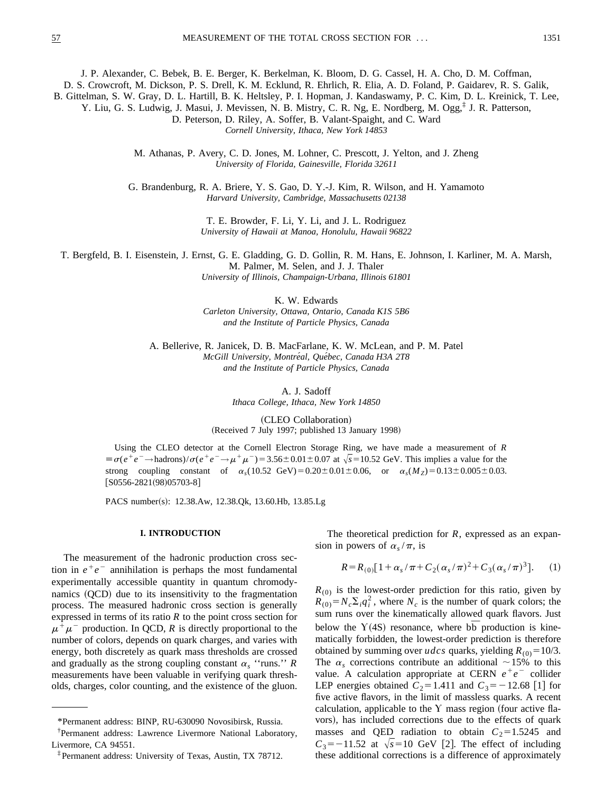J. P. Alexander, C. Bebek, B. E. Berger, K. Berkelman, K. Bloom, D. G. Cassel, H. A. Cho, D. M. Coffman,

D. S. Crowcroft, M. Dickson, P. S. Drell, K. M. Ecklund, R. Ehrlich, R. Elia, A. D. Foland, P. Gaidarev, R. S. Galik,

B. Gittelman, S. W. Gray, D. L. Hartill, B. K. Heltsley, P. I. Hopman, J. Kandaswamy, P. C. Kim, D. L. Kreinick, T. Lee,

Y. Liu, G. S. Ludwig, J. Masui, J. Mevissen, N. B. Mistry, C. R. Ng, E. Nordberg, M. Ogg,‡ J. R. Patterson,

D. Peterson, D. Riley, A. Soffer, B. Valant-Spaight, and C. Ward *Cornell University, Ithaca, New York 14853*

M. Athanas, P. Avery, C. D. Jones, M. Lohner, C. Prescott, J. Yelton, and J. Zheng *University of Florida, Gainesville, Florida 32611*

G. Brandenburg, R. A. Briere, Y. S. Gao, D. Y.-J. Kim, R. Wilson, and H. Yamamoto *Harvard University, Cambridge, Massachusetts 02138*

> T. E. Browder, F. Li, Y. Li, and J. L. Rodriguez *University of Hawaii at Manoa, Honolulu, Hawaii 96822*

T. Bergfeld, B. I. Eisenstein, J. Ernst, G. E. Gladding, G. D. Gollin, R. M. Hans, E. Johnson, I. Karliner, M. A. Marsh, M. Palmer, M. Selen, and J. J. Thaler

*University of Illinois, Champaign-Urbana, Illinois 61801*

K. W. Edwards

*Carleton University, Ottawa, Ontario, Canada K1S 5B6 and the Institute of Particle Physics, Canada*

A. Bellerive, R. Janicek, D. B. MacFarlane, K. W. McLean, and P. M. Patel *McGill University, Montre´al, Que´bec, Canada H3A 2T8 and the Institute of Particle Physics, Canada*

> A. J. Sadoff *Ithaca College, Ithaca, New York 14850*

(CLEO Collaboration) (Received 7 July 1997; published 13 January 1998)

Using the CLEO detector at the Cornell Electron Storage Ring, we have made a measurement of *R*  $\equiv \sigma(e^+e^- \to \text{hadrons})/\sigma(e^+e^- \to \mu^+\mu^-) = 3.56 \pm 0.01 \pm 0.07$  at  $\sqrt{s} = 10.52$  GeV. This implies a value for the strong coupling constant of  $\alpha_s(10.52 \text{ GeV}) = 0.20 \pm 0.01 \pm 0.06$ , or  $\alpha_s(M_Z) = 0.13 \pm 0.005 \pm 0.03$ .  $[$ S0556-2821(98)05703-8 $]$ 

PACS number(s): 12.38.Aw, 12.38.Qk, 13.60.Hb, 13.85.Lg

# **I. INTRODUCTION**

The measurement of the hadronic production cross section in  $e^+e^-$  annihilation is perhaps the most fundamental experimentally accessible quantity in quantum chromodynamics (OCD) due to its insensitivity to the fragmentation process. The measured hadronic cross section is generally expressed in terms of its ratio *R* to the point cross section for  $\mu^+\mu^-$  production. In QCD, *R* is directly proportional to the number of colors, depends on quark charges, and varies with energy, both discretely as quark mass thresholds are crossed and gradually as the strong coupling constant  $\alpha_s$  "runs." *R* measurements have been valuable in verifying quark thresholds, charges, color counting, and the existence of the gluon.

The theoretical prediction for *R*, expressed as an expansion in powers of  $\alpha_s/\pi$ , is

$$
R = R_{(0)}[1 + \alpha_s/\pi + C_2(\alpha_s/\pi)^2 + C_3(\alpha_s/\pi)^3].
$$
 (1)

 $R_{(0)}$  is the lowest-order prediction for this ratio, given by  $R_{(0)} = N_c \sum_i q_i^2$ , where  $N_c$  is the number of quark colors; the sum runs over the kinematically allowed quark flavors. Just below the  $Y(4S)$  resonance, where  $b\overline{b}$  production is kinematically forbidden, the lowest-order prediction is therefore obtained by summing over *udcs* quarks, yielding  $R_{(0)} = 10/3$ . The  $\alpha_s$  corrections contribute an additional  $\sim$ 15% to this value. A calculation appropriate at CERN  $e^+e^-$  collider LEP energies obtained  $C_2$ =1.411 and  $C_3$ = -12.68 [1] for five active flavors, in the limit of massless quarks. A recent calculation, applicable to the  $Y$  mass region (four active flavors), has included corrections due to the effects of quark masses and QED radiation to obtain  $C_2=1.5245$  and  $C_3 = -11.52$  at  $\sqrt{s} = 10$  GeV [2]. The effect of including these additional corrections is a difference of approximately

<sup>\*</sup>Permanent address: BINP, RU-630090 Novosibirsk, Russia.

<sup>†</sup> Permanent address: Lawrence Livermore National Laboratory, Livermore, CA 94551.

<sup>‡</sup>Permanent address: University of Texas, Austin, TX 78712.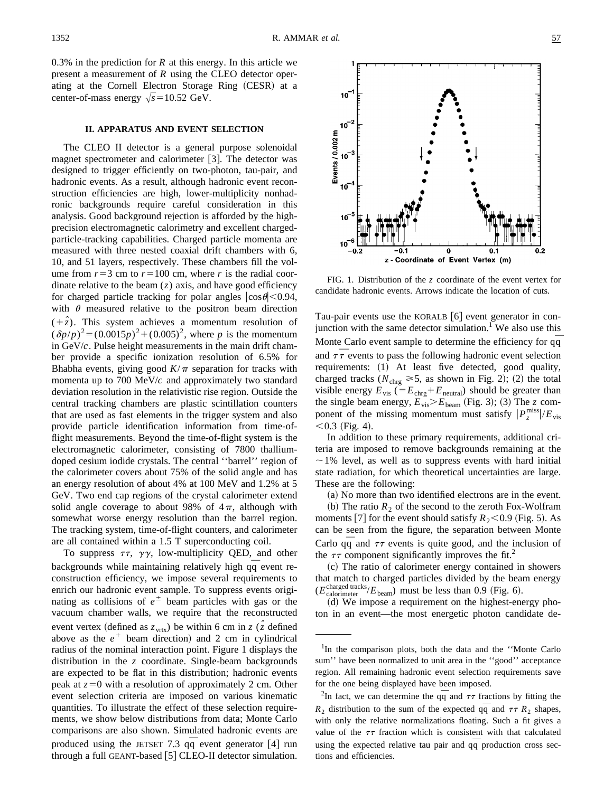$10<sup>-</sup>$ 

 $10$ 

10

 $10<sup>7</sup>$ 

10

Events / 0.002 m  $10<sup>7</sup>$ 

0.3% in the prediction for *R* at this energy. In this article we present a measurement of *R* using the CLEO detector operating at the Cornell Electron Storage Ring (CESR) at a center-of-mass energy  $\sqrt{s}$ =10.52 GeV.

## **II. APPARATUS AND EVENT SELECTION**

The CLEO II detector is a general purpose solenoidal magnet spectrometer and calorimeter  $[3]$ . The detector was designed to trigger efficiently on two-photon, tau-pair, and hadronic events. As a result, although hadronic event reconstruction efficiencies are high, lower-multiplicity nonhadronic backgrounds require careful consideration in this analysis. Good background rejection is afforded by the highprecision electromagnetic calorimetry and excellent chargedparticle-tracking capabilities. Charged particle momenta are measured with three nested coaxial drift chambers with 6, 10, and 51 layers, respectively. These chambers fill the volume from  $r=3$  cm to  $r=100$  cm, where *r* is the radial coordinate relative to the beam  $(z)$  axis, and have good efficiency for charged particle tracking for polar angles  $|\cos \theta|$  < 0.94, with  $\theta$  measured relative to the positron beam direction  $(+\hat{z})$ . This system achieves a momentum resolution of  $(\delta p/p)^2 = (0.0015p)^2 + (0.005)^2$ , where *p* is the momentum in GeV/*c*. Pulse height measurements in the main drift chamber provide a specific ionization resolution of 6.5% for Bhabha events, giving good  $K/\pi$  separation for tracks with momenta up to 700 MeV/*c* and approximately two standard deviation resolution in the relativistic rise region. Outside the central tracking chambers are plastic scintillation counters that are used as fast elements in the trigger system and also provide particle identification information from time-offlight measurements. Beyond the time-of-flight system is the electromagnetic calorimeter, consisting of 7800 thalliumdoped cesium iodide crystals. The central ''barrel'' region of the calorimeter covers about 75% of the solid angle and has an energy resolution of about 4% at 100 MeV and 1.2% at 5 GeV. Two end cap regions of the crystal calorimeter extend solid angle coverage to about 98% of  $4\pi$ , although with somewhat worse energy resolution than the barrel region. The tracking system, time-of-flight counters, and calorimeter are all contained within a 1.5 T superconducting coil.

To suppress  $\tau\tau$ ,  $\gamma\gamma$ , low-multiplicity QED, and other backgrounds while maintaining relatively high  $q\bar{q}$  event reconstruction efficiency, we impose several requirements to enrich our hadronic event sample. To suppress events originating as collisions of  $e^{\pm}$  beam particles with gas or the vacuum chamber walls, we require that the reconstructed event vertex (defined as  $z_{\text{vrtx}}$ ) be within 6 cm in *z* ( $\hat{z}$  defined above as the  $e^+$  beam direction) and 2 cm in cylindrical radius of the nominal interaction point. Figure 1 displays the distribution in the *z* coordinate. Single-beam backgrounds are expected to be flat in this distribution; hadronic events peak at  $z=0$  with a resolution of approximately 2 cm. Other event selection criteria are imposed on various kinematic quantities. To illustrate the effect of these selection requirements, we show below distributions from data; Monte Carlo comparisons are also shown. Simulated hadronic events are produced using the JETSET 7.3  $q\bar{q}$  event generator [4] run through a full GEANT-based  $[5]$  CLEO-II detector simulation.



candidate hadronic events. Arrows indicate the location of cuts.

Tau-pair events use the KORALB  $[6]$  event generator in conjunction with the same detector simulation.<sup>1</sup> We also use this Monte Carlo event sample to determine the efficiency for qq and  $\tau \bar{\tau}$  events to pass the following hadronic event selection requirements: (1) At least five detected, good quality, charged tracks ( $N_{\text{chrg}} \ge 5$ , as shown in Fig. 2); (2) the total visible energy  $E_{\text{vis}}$  ( $=E_{\text{chrg}}+E_{\text{neutral}}$ ) should be greater than the single beam energy,  $E_{vis} > E_{beam}$  (Fig. 3); (3) The *z* component of the missing momentum must satisfy  $|P_z^{\text{miss}}|/E_{\text{vis}}$  $< 0.3$  (Fig. 4).

In addition to these primary requirements, additional criteria are imposed to remove backgrounds remaining at the  $\sim$  1% level, as well as to suppress events with hard initial state radiation, for which theoretical uncertainties are large. These are the following:

(a) No more than two identified electrons are in the event.

(b) The ratio  $R_2$  of the second to the zeroth Fox-Wolfram moments [7] for the event should satisfy  $R_2$  < 0.9 (Fig. 5). As can be seen from the figure, the separation between Monte Carlo  $q\bar{q}$  and  $\tau\tau$  events is quite good, and the inclusion of the  $\tau\tau$  component significantly improves the fit.<sup>2</sup>

~c! The ratio of calorimeter energy contained in showers that match to charged particles divided by the beam energy  $(E_{\text{calorimeter}}^{\text{charged tracks}}/E_{\text{beam}})$  must be less than 0.9 (Fig. 6).

(d) We impose a requirement on the highest-energy photon in an event—the most energetic photon candidate de-

<sup>&</sup>lt;sup>1</sup>In the comparison plots, both the data and the "Monte Carlo sum'' have been normalized to unit area in the ''good'' acceptance region. All remaining hadronic event selection requirements save for the one being displayed have been imposed.

<sup>&</sup>lt;sup>2</sup>In fact, we can determine the  $q\bar{q}$  and  $\tau\tau$  fractions by fitting the  $R_2$  distribution to the sum of the expected  $q\bar{q}$  and  $\tau\tau R_2$  shapes, with only the relative normalizations floating. Such a fit gives a value of the  $\tau\tau$  fraction which is consistent with that calculated using the expected relative tau pair and  $q\bar{q}$  production cross sections and efficiencies.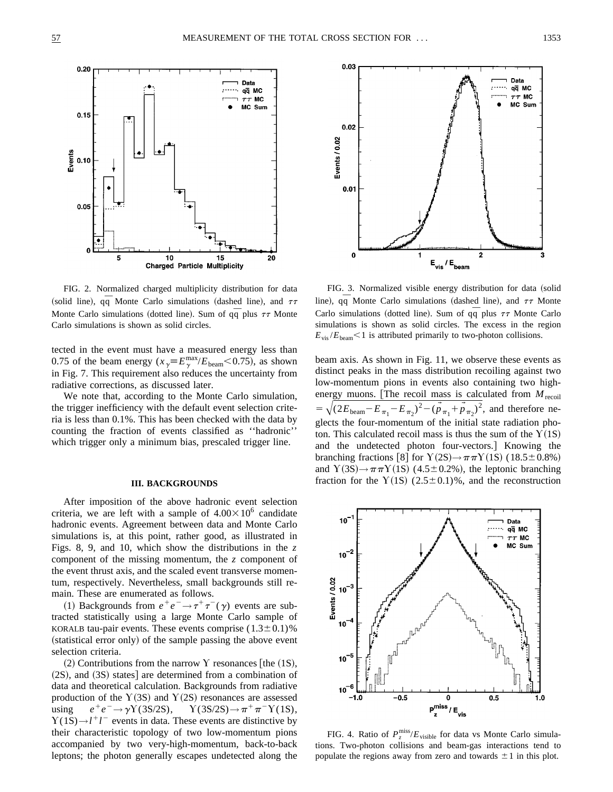

FIG. 2. Normalized charged multiplicity distribution for data (solid line),  $q\bar{q}$  Monte Carlo simulations (dashed line), and  $\tau\tau$ Monte Carlo simulations (dotted line). Sum of  $q\bar{q}$  plus  $\tau\tau$  Monte Carlo simulations is shown as solid circles.

tected in the event must have a measured energy less than 0.75 of the beam energy  $(x_\gamma = E_\gamma^{\text{max}}/E_{\text{beam}} < 0.75)$ , as shown in Fig. 7. This requirement also reduces the uncertainty from radiative corrections, as discussed later.

We note that, according to the Monte Carlo simulation, the trigger inefficiency with the default event selection criteria is less than 0.1%. This has been checked with the data by counting the fraction of events classified as ''hadronic'' which trigger only a minimum bias, prescaled trigger line.

## **III. BACKGROUNDS**

After imposition of the above hadronic event selection criteria, we are left with a sample of  $4.00 \times 10^6$  candidate hadronic events. Agreement between data and Monte Carlo simulations is, at this point, rather good, as illustrated in Figs. 8, 9, and 10, which show the distributions in the *z* component of the missing momentum, the *z* component of the event thrust axis, and the scaled event transverse momentum, respectively. Nevertheless, small backgrounds still remain. These are enumerated as follows.

(1) Backgrounds from  $e^+e^- \rightarrow \tau^+\tau^-(\gamma)$  events are subtracted statistically using a large Monte Carlo sample of KORALB tau-pair events. These events comprise  $(1.3\pm0.1)\%$ (statistical error only) of the sample passing the above event selection criteria.

 $(2)$  Contributions from the narrow Y resonances [the  $(1S)$ ,  $(2S)$ , and  $(3S)$  states] are determined from a combination of data and theoretical calculation. Backgrounds from radiative production of the Y(3S) and Y(2S) resonances are assessed using  $e^+e^- \rightarrow \gamma Y(3S/2S)$ ,  $Y(3S/2S) \rightarrow \pi^+\pi^-Y(1S)$ ,  $Y(1S) \rightarrow l^{+}l^{-}$  events in data. These events are distinctive by their characteristic topology of two low-momentum pions accompanied by two very-high-momentum, back-to-back leptons; the photon generally escapes undetected along the



FIG. 3. Normalized visible energy distribution for data (solid line),  $q\bar{q}$  Monte Carlo simulations (dashed line), and  $\tau\tau$  Monte Carlo simulations (dotted line). Sum of  $q\overline{q}$  plus  $\tau\tau$  Monte Carlo simulations is shown as solid circles. The excess in the region  $E_{\text{vis}}/E_{\text{beam}}$  < 1 is attributed primarily to two-photon collisions.

beam axis. As shown in Fig. 11, we observe these events as distinct peaks in the mass distribution recoiling against two low-momentum pions in events also containing two highenergy muons. [The recoil mass is calculated from  $M_{\text{recoil}}$  $=\sqrt{(2E_{\text{beam}}-E_{\pi_1}-E_{\pi_2})^2-(p_{\pi_1}+p_{\pi_2})^2}$ , and therefore neglects the four-momentum of the initial state radiation photon. This calculated recoil mass is thus the sum of the  $Y(1S)$ and the undetected photon four-vectors. Knowing the branching fractions [8] for  $Y(2S) \rightarrow \pi \pi Y(1S)$  (18.5±0.8%) and  $Y(3S) \rightarrow \pi \pi Y(1S)$  (4.5±0.2%), the leptonic branching fraction for the  $Y(1S)$  (2.5±0.1)%, and the reconstruction



FIG. 4. Ratio of  $P_z^{\text{miss}}/E_{\text{visible}}$  for data vs Monte Carlo simulations. Two-photon collisions and beam-gas interactions tend to populate the regions away from zero and towards  $\pm 1$  in this plot.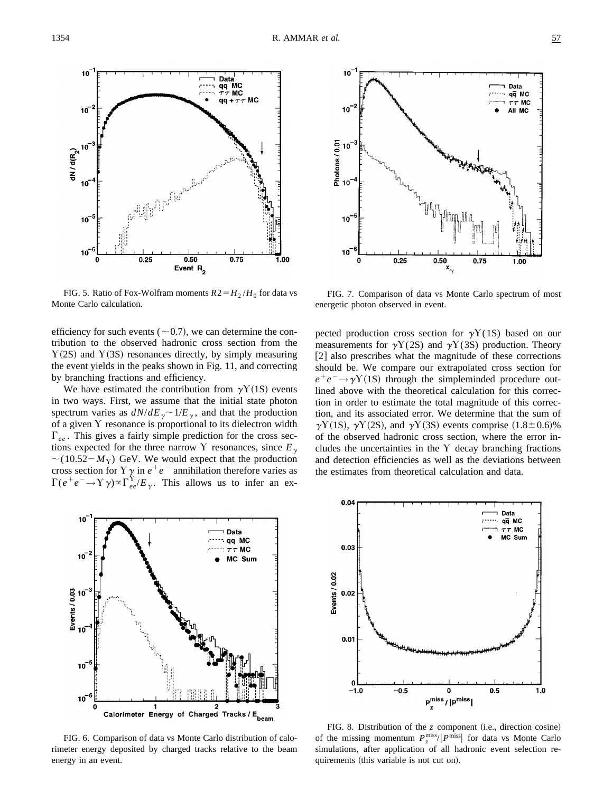

 $10<sup>7</sup>$ Data qq MC  $\tau\tau$  MC  $10^{-7}$ All MC  $P \cdot 0.01$ <br> $P \cdot 10$ <br> $10$  $10$  $10$  $0.25$  $0.50$ 0.75 1.00

FIG. 5. Ratio of Fox-Wolfram moments  $R2 = H_2 / H_0$  for data vs Monte Carlo calculation.

efficiency for such events ( $\sim$  0.7), we can determine the contribution to the observed hadronic cross section from the  $Y(2S)$  and  $Y(3S)$  resonances directly, by simply measuring the event yields in the peaks shown in Fig. 11, and correcting by branching fractions and efficiency.

We have estimated the contribution from  $\gamma Y(1S)$  events in two ways. First, we assume that the initial state photon spectrum varies as  $dN/dE<sub>y</sub> \sim 1/E<sub>y</sub>$ , and that the production of a given  $Y$  resonance is proportional to its dielectron width  $\Gamma_{ee}$ . This gives a fairly simple prediction for the cross sections expected for the three narrow Y resonances, since  $E_{\gamma}$  $\sim(10.52-M_{\text{Y}})$  GeV. We would expect that the production cross section for  $\Upsilon \gamma$  in  $e^+e^-$  annihilation therefore varies as  $\Gamma(e^+e^- \to \Upsilon \gamma) \propto \Gamma_{ee}^{\Upsilon}/E_{\gamma}$ . This allows us to infer an ex-



pected production cross section for  $\gamma Y(1S)$  based on our measurements for  $\gamma Y(2S)$  and  $\gamma Y(3S)$  production. Theory  $[2]$  also prescribes what the magnitude of these corrections should be. We compare our extrapolated cross section for  $e^+e^- \rightarrow \gamma Y(1S)$  through the simpleminded procedure outlined above with the theoretical calculation for this correction in order to estimate the total magnitude of this correction, and its associated error. We determine that the sum of  $\gamma$ Y (1S),  $\gamma$ Y (2S), and  $\gamma$ Y (3S) events comprise (1.8±0.6)% of the observed hadronic cross section, where the error includes the uncertainties in the  $Y$  decay branching fractions and detection efficiencies as well as the deviations between the estimates from theoretical calculation and data.



FIG. 6. Comparison of data vs Monte Carlo distribution of calorimeter energy deposited by charged tracks relative to the beam energy in an event.



FIG. 8. Distribution of the  $z$  component (i.e., direction cosine) of the missing momentum  $P_z^{\text{miss}}/|P_{\text{miss}}|$  for data vs Monte Carlo simulations, after application of all hadronic event selection requirements (this variable is not cut on).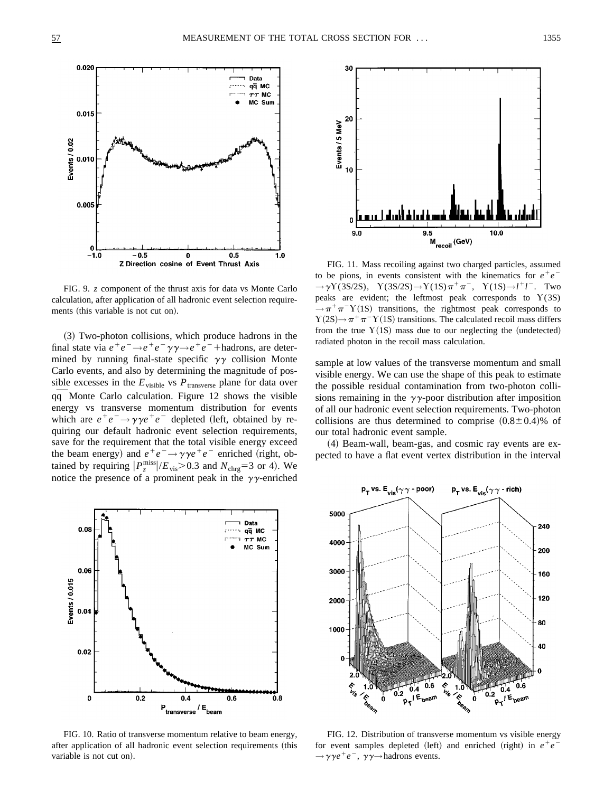

FIG. 9. *z* component of the thrust axis for data vs Monte Carlo calculation, after application of all hadronic event selection requirements (this variable is not cut on).

~3! Two-photon collisions, which produce hadrons in the final state via  $e^+e^- \rightarrow e^+e^- \gamma \gamma \rightarrow e^+e^-$  + hadrons, are determined by running final-state specific  $\gamma\gamma$  collision Monte Carlo events, and also by determining the magnitude of possible excesses in the  $E_{\text{visible}}$  vs  $P_{\text{transverse}}$  plane for data over qq¯ Monte Carlo calculation. Figure 12 shows the visible energy vs transverse momentum distribution for events which are  $e^+e^- \rightarrow \gamma \gamma e^+e^-$  depleted (left, obtained by requiring our default hadronic event selection requirements, save for the requirement that the total visible energy exceed the beam energy) and  $e^+e^- \rightarrow \gamma \gamma e^+e^-$  enriched (right, obtained by requiring  $|P_z^{\text{miss}}|/E_{\text{vis}} > 0.3$  and  $N_{\text{chrg}} = 3$  or 4). We notice the presence of a prominent peak in the  $\gamma\gamma$ -enriched



FIG. 10. Ratio of transverse momentum relative to beam energy, after application of all hadronic event selection requirements (this variable is not cut on).



FIG. 11. Mass recoiling against two charged particles, assumed to be pions, in events consistent with the kinematics for  $e^+e^ \rightarrow$  γY(3S/2S), Y(3S/2S)→Y(1S)π<sup>+</sup>π<sup>-</sup>, Y(1S)→*l*<sup>+</sup>*l*<sup>-</sup>. Two peaks are evident; the leftmost peak corresponds to  $Y(3S)$  $\rightarrow \pi^+\pi^-\Upsilon(1S)$  transitions, the rightmost peak corresponds to  $Y(2S) \rightarrow \pi^+ \pi^- Y(1S)$  transitions. The calculated recoil mass differs from the true  $Y(1S)$  mass due to our neglecting the (undetected) radiated photon in the recoil mass calculation.

sample at low values of the transverse momentum and small visible energy. We can use the shape of this peak to estimate the possible residual contamination from two-photon collisions remaining in the  $\gamma\gamma$ -poor distribution after imposition of all our hadronic event selection requirements. Two-photon collisions are thus determined to comprise  $(0.8\pm0.4)\%$  of our total hadronic event sample.

~4! Beam-wall, beam-gas, and cosmic ray events are expected to have a flat event vertex distribution in the interval



FIG. 12. Distribution of transverse momentum vs visible energy for event samples depleted (left) and enriched (right) in  $e^+e^ \rightarrow \gamma \gamma e^+ e^-$ ,  $\gamma \gamma \rightarrow$  hadrons events.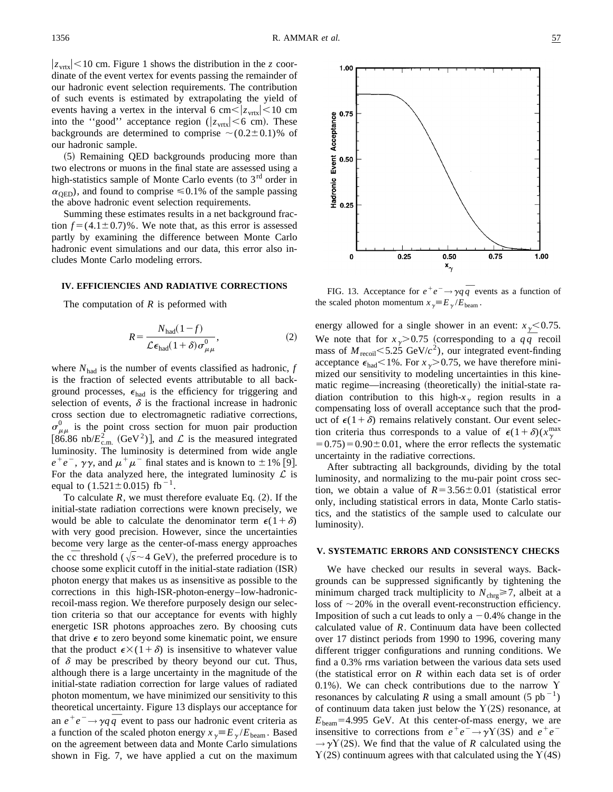1.00

 $|z_{\text{vrtx}}|$  < 10 cm. Figure 1 shows the distribution in the *z* coordinate of the event vertex for events passing the remainder of our hadronic event selection requirements. The contribution of such events is estimated by extrapolating the yield of events having a vertex in the interval 6 cm  $\langle z_{\text{vrtx}}|$  < 10 cm into the "good" acceptance region ( $|z_{\text{vrtx}}|$  < 6 cm). These backgrounds are determined to comprise  $\sim(0.2\pm0.1)\%$  of our hadronic sample.

(5) Remaining QED backgrounds producing more than two electrons or muons in the final state are assessed using a high-statistics sample of Monte Carlo events (to  $3<sup>rd</sup>$  order in  $\alpha_{\rm OED}$ ), and found to comprise  $\leq 0.1\%$  of the sample passing the above hadronic event selection requirements.

Summing these estimates results in a net background fraction  $f = (4.1 \pm 0.7)$ %. We note that, as this error is assessed partly by examining the difference between Monte Carlo hadronic event simulations and our data, this error also includes Monte Carlo modeling errors.

# **IV. EFFICIENCIES AND RADIATIVE CORRECTIONS**

The computation of *R* is peformed with

$$
R = \frac{N_{\text{had}}(1-f)}{\mathcal{L}\epsilon_{\text{had}}(1+\delta)\sigma_{\mu\mu}^0},\tag{2}
$$

where  $N_{\text{had}}$  is the number of events classified as hadronic,  $f$ is the fraction of selected events attributable to all background processes,  $\epsilon_{\text{had}}$  is the efficiency for triggering and selection of events,  $\delta$  is the fractional increase in hadronic cross section due to electromagnetic radiative corrections,  $\sigma_{\mu\mu}^{0}$  is the point cross section for muon pair production [86.86 nb/ $E_{\text{c.m.}}^2$  (GeV<sup>2</sup>)], and  $\mathcal L$  is the measured integrated luminosity. The luminosity is determined from wide angle  $e^+e^-$ ,  $\gamma\gamma$ , and  $\mu^+\mu^-$  final states and is known to  $\pm 1\%$  [9]. For the data analyzed here, the integrated luminosity  $\mathcal L$  is equal to  $(1.521 \pm 0.015)$  fb<sup>-1</sup>.

To calculate  $R$ , we must therefore evaluate Eq.  $(2)$ . If the initial-state radiation corrections were known precisely, we would be able to calculate the denominator term  $\epsilon(1+\delta)$ with very good precision. However, since the uncertainties become very large as the center-of-mass energy approaches the cc<sup> $\overline{c}$ </sup> threshold ( $\sqrt{s} \sim 4$  GeV), the preferred procedure is to choose some explicit cutoff in the initial-state radiation (ISR) photon energy that makes us as insensitive as possible to the corrections in this high-ISR-photon-energy–low-hadronicrecoil-mass region. We therefore purposely design our selection criteria so that our acceptance for events with highly energetic ISR photons approaches zero. By choosing cuts that drive  $\epsilon$  to zero beyond some kinematic point, we ensure that the product  $\epsilon \times (1+\delta)$  is insensitive to whatever value of  $\delta$  may be prescribed by theory beyond our cut. Thus, although there is a large uncertainty in the magnitude of the initial-state radiation correction for large values of radiated photon momentum, we have minimized our sensitivity to this theoretical uncertainty. Figure 13 displays our acceptance for an  $e^+e^- \rightarrow \gamma q \bar{q}$  event to pass our hadronic event criteria as a function of the scaled photon energy  $x_{\gamma} = E_{\gamma}/E_{\text{beam}}$ . Based on the agreement between data and Monte Carlo simulations shown in Fig. 7, we have applied a cut on the maximum



FIG. 13. Acceptance for  $e^+e^- \rightarrow \gamma q \bar{q}$  events as a function of the scaled photon momentum  $x_{\gamma} = E_{\gamma}/E_{\text{beam}}$ .

energy allowed for a single shower in an event:  $x_{\gamma}$  < 0.75. We note that for  $x_{\gamma} > 0.75$  (corresponding to a  $q\bar{q}$  recoil mass of  $M_{\text{recoil}}$  < 5.25 GeV/ $c^2$ ), our integrated event-finding acceptance  $\epsilon_{\text{had}}$  < 1%. For  $x_{\gamma}$  > 0.75, we have therefore minimized our sensitivity to modeling uncertainties in this kinematic regime—increasing (theoretically) the initial-state radiation contribution to this high- $x_{\gamma}$  region results in a compensating loss of overall acceptance such that the product of  $\epsilon(1+\delta)$  remains relatively constant. Our event selection criteria thus corresponds to a value of  $\epsilon(1+\delta)(x_\gamma^{\text{max}})$  $(50.75) = 0.90 \pm 0.01$ , where the error reflects the systematic uncertainty in the radiative corrections.

After subtracting all backgrounds, dividing by the total luminosity, and normalizing to the mu-pair point cross section, we obtain a value of  $R=3.56\pm0.01$  (statistical error only, including statistical errors in data, Monte Carlo statistics, and the statistics of the sample used to calculate our luminosity).

#### **V. SYSTEMATIC ERRORS AND CONSISTENCY CHECKS**

We have checked our results in several ways. Backgrounds can be suppressed significantly by tightening the minimum charged track multiplicity to  $N_{\text{chrg}} \geq 7$ , albeit at a loss of  $\sim$  20% in the overall event-reconstruction efficiency. Imposition of such a cut leads to only a  $-0.4%$  change in the calculated value of *R*. Continuum data have been collected over 17 distinct periods from 1990 to 1996, covering many different trigger configurations and running conditions. We find a 0.3% rms variation between the various data sets used (the statistical error on  $R$  within each data set is of order 0.1%). We can check contributions due to the narrow  $\Upsilon$ resonances by calculating *R* using a small amount  $(5 pb^{-1})$ of continuum data taken just below the  $Y(2S)$  resonance, at  $E_{\text{beam}}$ =4.995 GeV. At this center-of-mass energy, we are insensitive to corrections from  $e^+e^- \rightarrow \gamma Y(3S)$  and  $e^+e^ \rightarrow$   $\gamma$ Y(2S). We find that the value of *R* calculated using the  $Y(2S)$  continuum agrees with that calculated using the  $Y(4S)$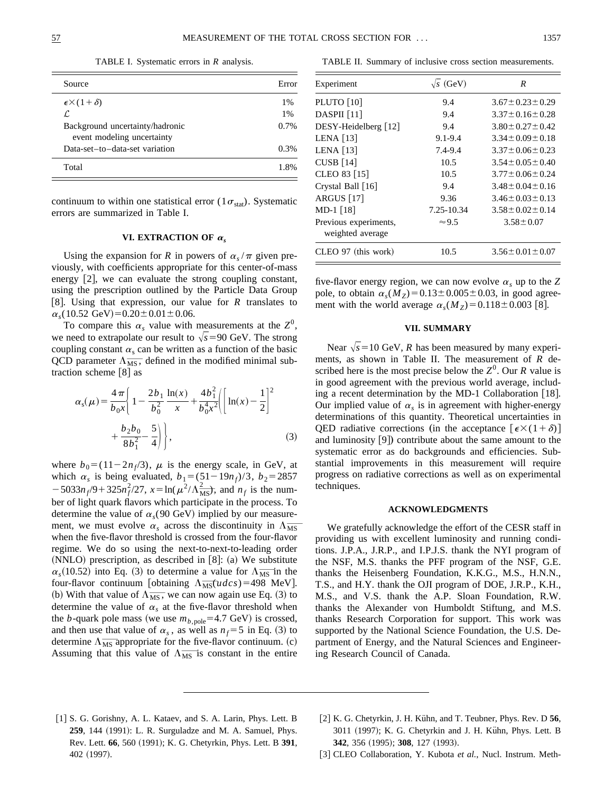TABLE I. Systematic errors in *R* analysis.

| Source                                                        | Error   |
|---------------------------------------------------------------|---------|
| $\epsilon \times (1+\delta)$                                  | 1%      |
| L                                                             | 1%      |
| Background uncertainty/hadronic<br>event modeling uncertainty | $0.7\%$ |
| Data-set-to-data-set variation                                | 0.3%    |
| Total                                                         | 1.8%    |

continuum to within one statistical error  $(1\sigma_{stat})$ . Systematic errors are summarized in Table I.

## VI. EXTRACTION OF  $\alpha_s$

Using the expansion for *R* in powers of  $\alpha_s/\pi$  given previously, with coefficients appropriate for this center-of-mass energy  $[2]$ , we can evaluate the strong coupling constant, using the prescription outlined by the Particle Data Group [8]. Using that expression, our value for  $R$  translates to  $\alpha_s(10.52 \text{ GeV}) = 0.20 \pm 0.01 \pm 0.06.$ 

To compare this  $\alpha_s$  value with measurements at the  $Z^0$ , we need to extrapolate our result to  $\sqrt{s}$ =90 GeV. The strong coupling constant  $\alpha_s$  can be written as a function of the basic QCD parameter  $\Lambda_{\overline{MS}}$ , defined in the modified minimal subtraction scheme  $[8]$  as

$$
\alpha_{s}(\mu) = \frac{4\pi}{b_{0}x} \left\{ 1 - \frac{2b_{1}}{b_{0}^{2}} \frac{\ln(x)}{x} + \frac{4b_{1}^{2}}{b_{0}^{4}x^{2}} \left( \left[ \ln(x) - \frac{1}{2} \right]^{2} + \frac{b_{2}b_{0}}{8b_{1}^{2}} - \frac{5}{4} \right) \right\},
$$
\n(3)

where  $b_0 = (11-2n_f/3)$ ,  $\mu$  is the energy scale, in GeV, at which  $\alpha_s$  is being evaluated,  $b_1 = (51 - 19n_f)/3$ ,  $b_2 = 2857$  $-5033n_f/9+325n_f^2$ evaluated,  $b_1 = (51 - 19n_f)/3$ ,  $b_2 = 2857$ <br>/27,  $x = \ln(\mu^2/\Lambda_{\overline{MS}}^2)$ , and  $n_f$  is the number of light quark flavors which participate in the process. To determine the value of  $\alpha_s$ (90 GeV) implied by our measurement, we must evolve  $\alpha_s$  across the discontinuity in  $\Lambda_{\overline{\text{MS}}}$ when the five-flavor threshold is crossed from the four-flavor regime. We do so using the next-to-next-to-leading order (NNLO) prescription, as described in [8]: (a) We substitute  $\alpha_s(10.52)$  into Eq. (3) to determine a value for  $\Lambda_{\overline{\text{MS}}}$  in the  $\alpha_s(10.52)$  into Eq. (3) to determine a value for  $\Lambda_{\overline{\rm MS}}$  in the four-flavor continuum [obtaining  $\Lambda_{\overline{\rm MS}}(udcs)$ =498 MeV]. four-flavor continuum [obtaining  $\Lambda_{\overline{\text{MS}}} (udcs) = 498$  MeV].<br>
(b) With that value of  $\Lambda_{\overline{\text{MS}}}$ , we can now again use Eq. (3) to determine the value of  $\alpha_s$  at the five-flavor threshold when the *b*-quark pole mass (we use  $m_{b,pole}$ =4.7 GeV) is crossed, and then use that value of  $\alpha_s$ , as well as  $n_f = 5$  in Eq. (3) to and then use that value of  $\alpha_s$ , as well as  $n_f = 5$  in Eq. (3) to determine  $\Lambda_{\overline{\text{MS}}}$  appropriate for the five-flavor continuum. (c) determine  $\Lambda_{\overline{\rm MS}}$  appropriate for the five-flavor continuum. (c)<br>Assuming that this value of  $\Lambda_{\overline{\rm MS}}$  is constant in the entire

TABLE II. Summary of inclusive cross section measurements.

| Experiment            | $\sqrt{s}$ (GeV) | R                        |
|-----------------------|------------------|--------------------------|
| <b>PLUTO</b> [10]     | 9.4              | $3.67 \pm 0.23 \pm 0.29$ |
| DASPII [11]           | 9.4              | $3.37 \pm 0.16 \pm 0.28$ |
| DESY-Heidelberg [12]  | 9.4              | $3.80 \pm 0.27 \pm 0.42$ |
| lena [13]             | $9.1 - 9.4$      | $3.34 \pm 0.09 \pm 0.18$ |
| lena [13]             | $7.4 - 9.4$      | $3.37 \pm 0.06 \pm 0.23$ |
| CUSB [14]             | 10.5             | $3.54 \pm 0.05 \pm 0.40$ |
| CLEO 83 [15]          | 10.5             | $3.77 \pm 0.06 \pm 0.24$ |
| Crystal Ball [16]     | 9.4              | $3.48 \pm 0.04 \pm 0.16$ |
| ARGUS <sup>[17]</sup> | 9.36             | $3.46 \pm 0.03 \pm 0.13$ |
| MD-1 [18]             | 7.25-10.34       | $3.58 \pm 0.02 \pm 0.14$ |
| Previous experiments, | $\approx$ 9.5    | $3.58 \pm 0.07$          |
| weighted average      |                  |                          |
| CLEO 97 (this work)   | 10.5             | $3.56 \pm 0.01 \pm 0.07$ |

five-flavor energy region, we can now evolve  $\alpha_s$  up to the Z pole, to obtain  $\alpha_s(M_Z) = 0.13 \pm 0.005 \pm 0.03$ , in good agreement with the world average  $\alpha_s(M_Z)=0.118\pm0.003$  [8].

# **VII. SUMMARY**

Near  $\sqrt{s}$ =10 GeV, *R* has been measured by many experiments, as shown in Table II. The measurement of *R* described here is the most precise below the  $Z^0$ . Our *R* value is in good agreement with the previous world average, including a recent determination by the MD-1 Collaboration  $[18]$ . Our implied value of  $\alpha_s$  is in agreement with higher-energy determinations of this quantity. Theoretical uncertainties in QED radiative corrections (in the acceptance  $[\epsilon \times (1+\delta)]$ and luminosity  $[9]$  contribute about the same amount to the systematic error as do backgrounds and efficiencies. Substantial improvements in this measurement will require progress on radiative corrections as well as on experimental techniques.

### **ACKNOWLEDGMENTS**

We gratefully acknowledge the effort of the CESR staff in providing us with excellent luminosity and running conditions. J.P.A., J.R.P., and I.P.J.S. thank the NYI program of the NSF, M.S. thanks the PFF program of the NSF, G.E. thanks the Heisenberg Foundation, K.K.G., M.S., H.N.N., T.S., and H.Y. thank the OJI program of DOE, J.R.P., K.H., M.S., and V.S. thank the A.P. Sloan Foundation, R.W. thanks the Alexander von Humboldt Stiftung, and M.S. thanks Research Corporation for support. This work was supported by the National Science Foundation, the U.S. Department of Energy, and the Natural Sciences and Engineering Research Council of Canada.

- [1] S. G. Gorishny, A. L. Kataev, and S. A. Larin, Phys. Lett. B 259, 144 (1991): L. R. Surguladze and M. A. Samuel, Phys. Rev. Lett. 66, 560 (1991); K. G. Chetyrkin, Phys. Lett. B 391, 402 (1997).
- [2] K. G. Chetyrkin, J. H. Kühn, and T. Teubner, Phys. Rev. D 56, 3011 (1997); K. G. Chetyrkin and J. H. Kühn, Phys. Lett. B **342**, 356 (1995); **308**, 127 (1993).
- [3] CLEO Collaboration, Y. Kubota et al., Nucl. Instrum. Meth-